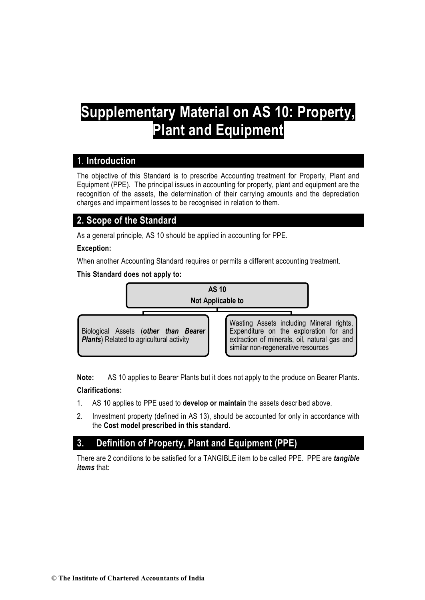# **Supplementary Material on AS 10: Property, Plant and Equipment**

# 1. **Introduction**

The objective of this Standard is to prescribe Accounting treatment for Property, Plant and Equipment (PPE). The principal issues in accounting for property, plant and equipment are the recognition of the assets, the determination of their carrying amounts and the depreciation charges and impairment losses to be recognised in relation to them.

# **2. Scope of the Standard**

As a general principle, AS 10 should be applied in accounting for PPE.

# **Exception:**

When another Accounting Standard requires or permits a different accounting treatment.

**This Standard does not apply to:**



**Note:** AS 10 applies to Bearer Plants but it does not apply to the produce on Bearer Plants. **Clarifications:** 

- 1. AS 10 applies to PPE used to **develop or maintain** the assets described above.
- 2. Investment property (defined in AS 13), should be accounted for only in accordance with the **Cost model prescribed in this standard.**

# **3. Definition of Property, Plant and Equipment (PPE)**

There are 2 conditions to be satisfied for a TANGIBLE item to be called PPE. PPE are *tangible items* that: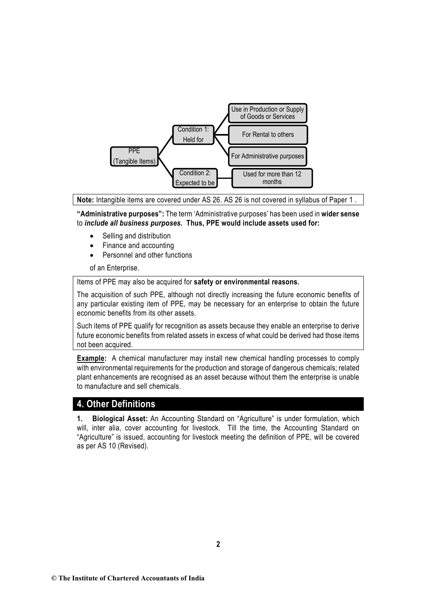

**Note:** Intangible items are covered under AS 26. AS 26 is not covered in syllabus of Paper 1 .

**"Administrative purposes":** The term 'Administrative purposes' has been used in **wider sense** to *include all business purposes.* **Thus, PPE would include assets used for:**

- Selling and distribution
- Finance and accounting
- Personnel and other functions

of an Enterprise.

Items of PPE may also be acquired for **safety or environmental reasons.** 

The acquisition of such PPE, although not directly increasing the future economic benefits of any particular existing item of PPE, may be necessary for an enterprise to obtain the future economic benefits from its other assets.

Such items of PPE qualify for recognition as assets because they enable an enterprise to derive future economic benefits from related assets in excess of what could be derived had those items not been acquired.

**Example:** A chemical manufacturer may install new chemical handling processes to comply with environmental requirements for the production and storage of dangerous chemicals; related plant enhancements are recognised as an asset because without them the enterprise is unable to manufacture and sell chemicals.

# **4. Other Definitions**

**1. Biological Asset:** An Accounting Standard on "Agriculture" is under formulation, which will, inter alia, cover accounting for livestock. Till the time, the Accounting Standard on "Agriculture" is issued, accounting for livestock meeting the definition of PPE, will be covered as per AS 10 (Revised).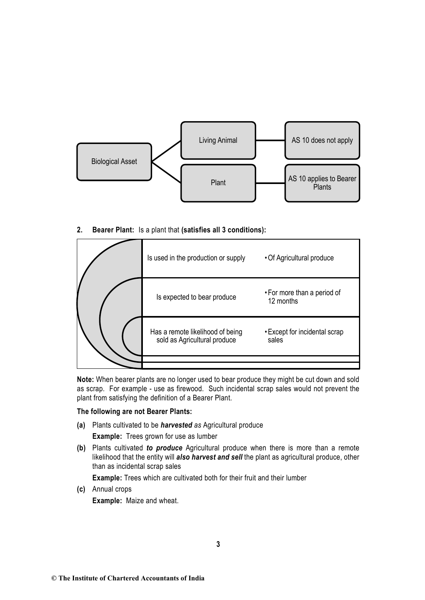

**2. Bearer Plant:** Is a plant that **(satisfies all 3 conditions):**

| Is used in the production or supply                              | • Of Agricultural produce                |
|------------------------------------------------------------------|------------------------------------------|
| Is expected to bear produce                                      | • For more than a period of<br>12 months |
| Has a remote likelihood of being<br>sold as Agricultural produce | • Except for incidental scrap<br>sales   |
|                                                                  |                                          |
|                                                                  |                                          |

**Note:** When bearer plants are no longer used to bear produce they might be cut down and sold as scrap. For example - use as firewood. Such incidental scrap sales would not prevent the plant from satisfying the definition of a Bearer Plant.

#### **The following are not Bearer Plants:**

- **(a)** Plants cultivated to be *harvested as* Agricultural produce **Example:** Trees grown for use as lumber
- **(b)** Plants cultivated *to produce* Agricultural produce when there is more than a remote likelihood that the entity will *also harvest and sell* the plant as agricultural produce, other than as incidental scrap sales

**Example:** Trees which are cultivated both for their fruit and their lumber

**(c)** Annual crops **Example:** Maize and wheat.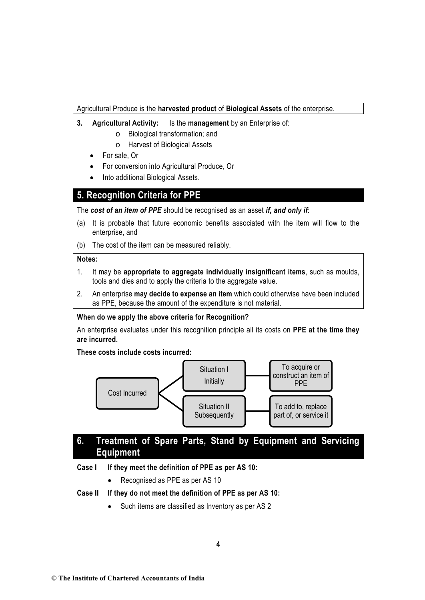Agricultural Produce is the **harvested product** of **Biological Assets** of the enterprise.

- **3. Agricultural Activity:** Is the **management** by an Enterprise of:
	- o Biological transformation; and
	- o Harvest of Biological Assets
	- For sale, Or
	- For conversion into Agricultural Produce, Or
	- Into additional Biological Assets.

# **5. Recognition Criteria for PPE**

The *cost of an item of PPE* should be recognised as an asset *if, and only if*:

- (a) It is probable that future economic benefits associated with the item will flow to the enterprise, and
- (b) The cost of the item can be measured reliably.

### **Notes:**

- 1. It may be **appropriate to aggregate individually insignificant items**, such as moulds, tools and dies and to apply the criteria to the aggregate value.
- 2. An enterprise **may decide to expense an item** which could otherwise have been included as PPE, because the amount of the expenditure is not material.

# **When do we apply the above criteria for Recognition?**

An enterprise evaluates under this recognition principle all its costs on **PPE at the time they are incurred.**

**These costs include costs incurred:**



# **6. Treatment of Spare Parts, Stand by Equipment and Servicing Equipment**

# **Case I If they meet the definition of PPE as per AS 10:**

• Recognised as PPE as per AS 10

# **Case II If they do not meet the definition of PPE as per AS 10:**

Such items are classified as Inventory as per AS 2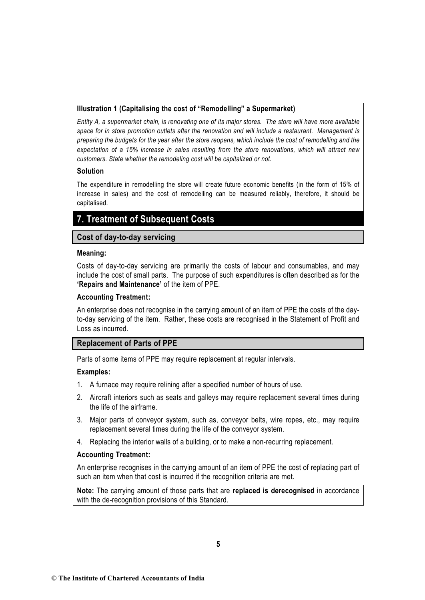### **Illustration 1 (Capitalising the cost of "Remodelling" a Supermarket)**

*Entity A, a supermarket chain, is renovating one of its major stores. The store will have more available space for in store promotion outlets after the renovation and will include a restaurant. Management is preparing the budgets for the year after the store reopens, which include the cost of remodelling and the expectation of a 15% increase in sales resulting from the store renovations, which will attract new customers. State whether the remodeling cost will be capitalized or not.*

# **Solution**

The expenditure in remodelling the store will create future economic benefits (in the form of 15% of increase in sales) and the cost of remodelling can be measured reliably, therefore, it should be capitalised.

# **7. Treatment of Subsequent Costs**

# **Cost of day-to-day servicing**

### **Meaning:**

Costs of day-to-day servicing are primarily the costs of labour and consumables, and may include the cost of small parts. The purpose of such expenditures is often described as for the **'Repairs and Maintenance'** of the item of PPE.

# **Accounting Treatment:**

An enterprise does not recognise in the carrying amount of an item of PPE the costs of the dayto-day servicing of the item. Rather, these costs are recognised in the Statement of Profit and Loss as incurred.

# **Replacement of Parts of PPE**

Parts of some items of PPE may require replacement at regular intervals.

# **Examples:**

- 1. A furnace may require relining after a specified number of hours of use.
- 2. Aircraft interiors such as seats and galleys may require replacement several times during the life of the airframe.
- 3. Major parts of conveyor system, such as, conveyor belts, wire ropes, etc., may require replacement several times during the life of the conveyor system.
- 4. Replacing the interior walls of a building, or to make a non-recurring replacement.

# **Accounting Treatment:**

An enterprise recognises in the carrying amount of an item of PPE the cost of replacing part of such an item when that cost is incurred if the recognition criteria are met.

**Note:** The carrying amount of those parts that are **replaced is derecognised** in accordance with the de-recognition provisions of this Standard.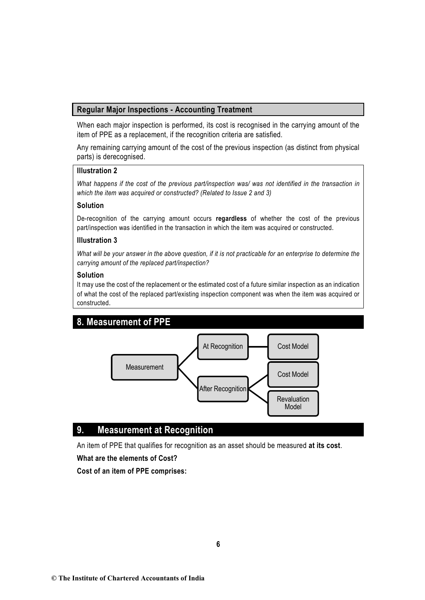# **Regular Major Inspections - Accounting Treatment**

When each major inspection is performed, its cost is recognised in the carrying amount of the item of PPE as a replacement, if the recognition criteria are satisfied.

Any remaining carrying amount of the cost of the previous inspection (as distinct from physical parts) is derecognised.

#### **Illustration 2**

*What happens if the cost of the previous part/inspection was/ was not identified in the transaction in which the item was acquired or constructed? (Related to Issue 2 and 3)* 

#### **Solution**

De-recognition of the carrying amount occurs **regardless** of whether the cost of the previous part/inspection was identified in the transaction in which the item was acquired or constructed.

#### **Illustration 3**

*What will be your answer in the above question, if it is not practicable for an enterprise to determine the carrying amount of the replaced part/inspection?*

#### **Solution**

It may use the cost of the replacement or the estimated cost of a future similar inspection as an indication of what the cost of the replaced part/existing inspection component was when the item was acquired or constructed.

# **8. Measurement of PPE**



# **9. Measurement at Recognition**

An item of PPE that qualifies for recognition as an asset should be measured **at its cost**.

#### **What are the elements of Cost?**

**Cost of an item of PPE comprises:**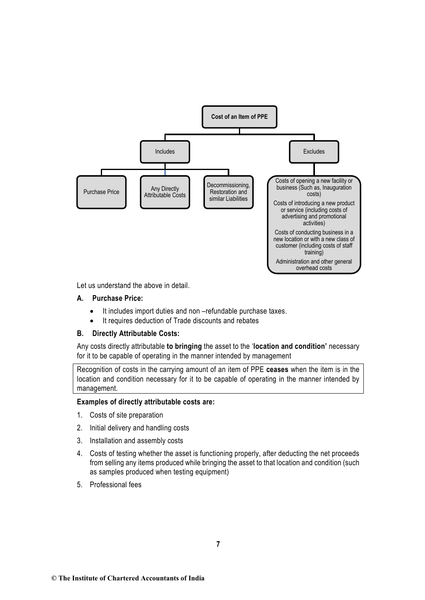

Let us understand the above in detail.

#### **A. Purchase Price:**

- It includes import duties and non –refundable purchase taxes.
- It requires deduction of Trade discounts and rebates

#### **B. Directly Attributable Costs:**

Any costs directly attributable **to bringing** the asset to the '**location and condition'** necessary for it to be capable of operating in the manner intended by management

Recognition of costs in the carrying amount of an item of PPE **ceases** when the item is in the location and condition necessary for it to be capable of operating in the manner intended by management.

#### **Examples of directly attributable costs are:**

- 1. Costs of site preparation
- 2. Initial delivery and handling costs
- 3. Installation and assembly costs
- 4. Costs of testing whether the asset is functioning properly, after deducting the net proceeds from selling any items produced while bringing the asset to that location and condition (such as samples produced when testing equipment)
- 5. Professional fees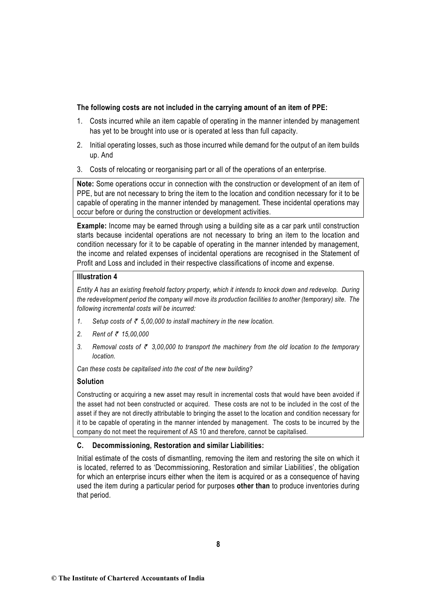### **The following costs are not included in the carrying amount of an item of PPE:**

- 1. Costs incurred while an item capable of operating in the manner intended by management has yet to be brought into use or is operated at less than full capacity.
- 2. Initial operating losses, such as those incurred while demand for the output of an item builds up. And
- 3. Costs of relocating or reorganising part or all of the operations of an enterprise.

**Note:** Some operations occur in connection with the construction or development of an item of PPE, but are not necessary to bring the item to the location and condition necessary for it to be capable of operating in the manner intended by management. These incidental operations may occur before or during the construction or development activities.

**Example:** Income may be earned through using a building site as a car park until construction starts because incidental operations are not necessary to bring an item to the location and condition necessary for it to be capable of operating in the manner intended by management, the income and related expenses of incidental operations are recognised in the Statement of Profit and Loss and included in their respective classifications of income and expense.

### **Illustration 4**

*Entity A has an existing freehold factory property, which it intends to knock down and redevelop. During the redevelopment period the company will move its production facilities to another (temporary) site. The following incremental costs will be incurred:* 

- *1.* Setup costs of  $\bar{\tau}$  5,00,000 to install machinery in the new location.
- *2. Rent of* ` *15,00,000*
- 3. Removal costs of  $\bar{\tau}$  3,00,000 to transport the machinery from the old location to the temporary *location.*

*Can these costs be capitalised into the cost of the new building?*

# **Solution**

Constructing or acquiring a new asset may result in incremental costs that would have been avoided if the asset had not been constructed or acquired. These costs are not to be included in the cost of the asset if they are not directly attributable to bringing the asset to the location and condition necessary for it to be capable of operating in the manner intended by management. The costs to be incurred by the company do not meet the requirement of AS 10 and therefore, cannot be capitalised.

# **C. Decommissioning, Restoration and similar Liabilities:**

Initial estimate of the costs of dismantling, removing the item and restoring the site on which it is located, referred to as 'Decommissioning, Restoration and similar Liabilities', the obligation for which an enterprise incurs either when the item is acquired or as a consequence of having used the item during a particular period for purposes **other than** to produce inventories during that period.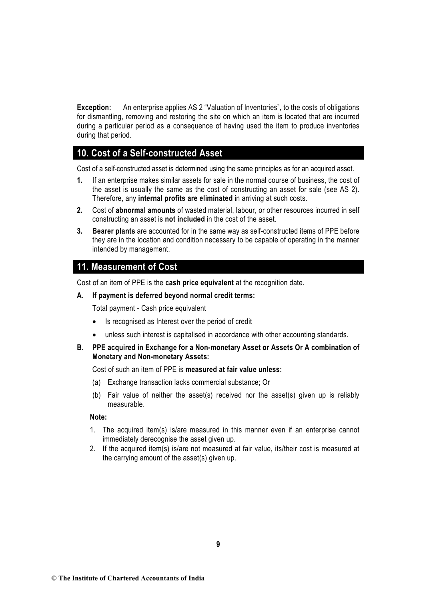**Exception:** An enterprise applies AS 2 "Valuation of Inventories", to the costs of obligations for dismantling, removing and restoring the site on which an item is located that are incurred during a particular period as a consequence of having used the item to produce inventories during that period.

# **10. Cost of a Self-constructed Asset**

Cost of a self-constructed asset is determined using the same principles as for an acquired asset.

- **1.** If an enterprise makes similar assets for sale in the normal course of business, the cost of the asset is usually the same as the cost of constructing an asset for sale (see AS 2). Therefore, any **internal profits are eliminated** in arriving at such costs.
- **2.** Cost of **abnormal amounts** of wasted material, labour, or other resources incurred in self constructing an asset is **not included** in the cost of the asset.
- **3. Bearer plants** are accounted for in the same way as self-constructed items of PPE before they are in the location and condition necessary to be capable of operating in the manner intended by management.

# **11. Measurement of Cost**

Cost of an item of PPE is the **cash price equivalent** at the recognition date.

#### **A. If payment is deferred beyond normal credit terms:**

Total payment - Cash price equivalent

- Is recognised as Interest over the period of credit
- unless such interest is capitalised in accordance with other accounting standards.
- **B. PPE acquired in Exchange for a Non-monetary Asset or Assets Or A combination of Monetary and Non-monetary Assets:**

#### Cost of such an item of PPE is **measured at fair value unless:**

- (a) Exchange transaction lacks commercial substance; Or
- (b) Fair value of neither the asset(s) received nor the asset(s) given up is reliably measurable.

### **Note:**

- 1. The acquired item(s) is/are measured in this manner even if an enterprise cannot immediately derecognise the asset given up.
- 2. If the acquired item(s) is/are not measured at fair value, its/their cost is measured at the carrying amount of the asset(s) given up.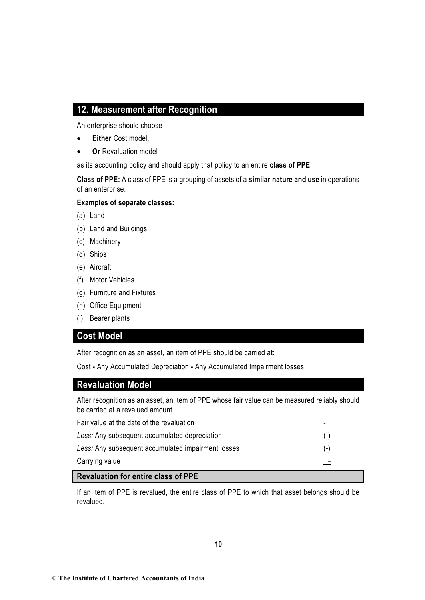# **12. Measurement after Recognition**

An enterprise should choose

- **Either** Cost model,
- **Or** Revaluation model

as its accounting policy and should apply that policy to an entire **class of PPE**.

**Class of PPE:** A class of PPE is a grouping of assets of a **similar nature and use** in operations of an enterprise.

# **Examples of separate classes:**

- (a) Land
- (b) Land and Buildings
- (c) Machinery
- (d) Ships
- (e) Aircraft
- (f) Motor Vehicles
- (g) Furniture and Fixtures
- (h) Office Equipment
- (i) Bearer plants

# **Cost Model**

After recognition as an asset, an item of PPE should be carried at:

Cost **-** Any Accumulated Depreciation **-** Any Accumulated Impairment losses

# **Revaluation Model**

After recognition as an asset, an item of PPE whose fair value can be measured reliably should be carried at a revalued amount.

| Carrying value                                     |                          |
|----------------------------------------------------|--------------------------|
| Less: Any subsequent accumulated impairment losses | $(-)$                    |
| Less: Any subsequent accumulated depreciation      | $(-)$                    |
| Fair value at the date of the revaluation          | $\overline{\phantom{0}}$ |

# **Revaluation for entire class of PPE**

If an item of PPE is revalued, the entire class of PPE to which that asset belongs should be revalued.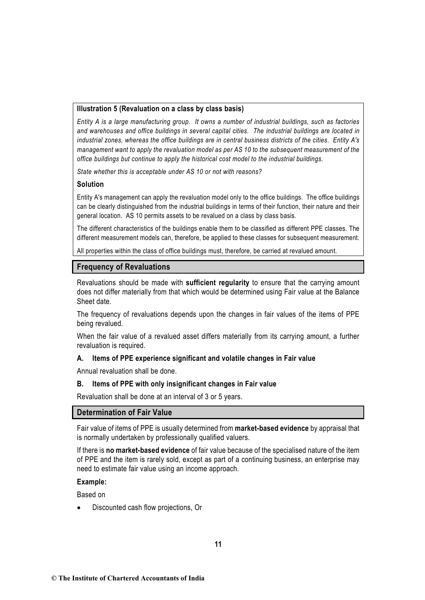#### **Illustration 5 (Revaluation on a class by class basis)**

*Entity A is a large manufacturing group. It owns a number of industrial buildings, such as factories and warehouses and office buildings in several capital cities. The industrial buildings are located in industrial zones, whereas the office buildings are in central business districts of the cities. Entity A's management want to apply the revaluation model as per AS 10 to the subsequent measurement of the office buildings but continue to apply the historical cost model to the industrial buildings.* 

*State whether this is acceptable under AS 10 or not with reasons?* 

#### **Solution**

Entity A's management can apply the revaluation model only to the office buildings. The office buildings can be clearly distinguished from the industrial buildings in terms of their function, their nature and their general location. AS 10 permits assets to be revalued on a class by class basis.

The different characteristics of the buildings enable them to be classified as different PPE classes. The different measurement models can, therefore, be applied to these classes for subsequent measurement.

All properties within the class of office buildings must, therefore, be carried at revalued amount.

### **Frequency of Revaluations**

Revaluations should be made with **sufficient regularity** to ensure that the carrying amount does not differ materially from that which would be determined using Fair value at the Balance Sheet date.

The frequency of revaluations depends upon the changes in fair values of the items of PPE being revalued.

When the fair value of a revalued asset differs materially from its carrying amount, a further revaluation is required.

#### **A. Items of PPE experience significant and volatile changes in Fair value**

Annual revaluation shall be done.

#### **B. Items of PPE with only insignificant changes in Fair value**

Revaluation shall be done at an interval of 3 or 5 years.

#### **Determination of Fair Value**

Fair value of items of PPE is usually determined from **market-based evidence** by appraisal that is normally undertaken by professionally qualified valuers.

If there is **no market-based evidence** of fair value because of the specialised nature of the item of PPE and the item is rarely sold, except as part of a continuing business, an enterprise may need to estimate fair value using an income approach.

#### **Example:**

Based on

• Discounted cash flow projections, Or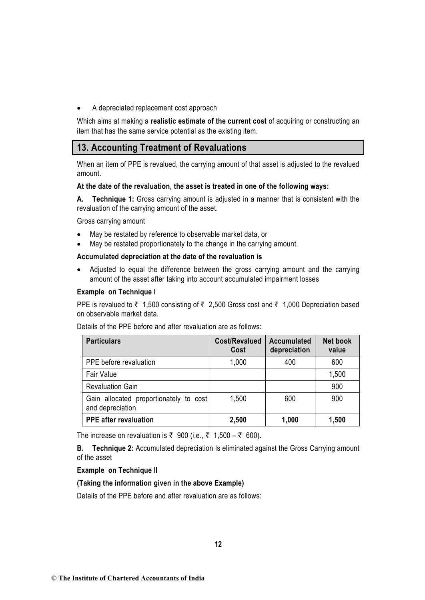• A depreciated replacement cost approach

Which aims at making a **realistic estimate of the current cost** of acquiring or constructing an item that has the same service potential as the existing item.

# **13. Accounting Treatment of Revaluations**

When an item of PPE is revalued, the carrying amount of that asset is adjusted to the revalued amount.

### **At the date of the revaluation, the asset is treated in one of the following ways:**

**A. Technique 1:** Gross carrying amount is adjusted in a manner that is consistent with the revaluation of the carrying amount of the asset.

Gross carrying amount

- May be restated by reference to observable market data, or
- May be restated proportionately to the change in the carrying amount.

### **Accumulated depreciation at the date of the revaluation is**

• Adjusted to equal the difference between the gross carrying amount and the carrying amount of the asset after taking into account accumulated impairment losses

### **Example on Technique I**

PPE is revalued to  $\bar{\tau}$  1,500 consisting of  $\bar{\tau}$  2,500 Gross cost and  $\bar{\tau}$  1,000 Depreciation based on observable market data.

Details of the PPE before and after revaluation are as follows:

| <b>Particulars</b>                                         | Cost/Revalued<br>Cost | <b>Accumulated</b><br>depreciation | <b>Net book</b><br>value |
|------------------------------------------------------------|-----------------------|------------------------------------|--------------------------|
| PPE before revaluation                                     | 1,000                 | 400                                | 600                      |
| <b>Fair Value</b>                                          |                       |                                    | 1,500                    |
| <b>Revaluation Gain</b>                                    |                       |                                    | 900                      |
| Gain allocated proportionately to cost<br>and depreciation | 1,500                 | 600                                | 900                      |
| <b>PPE</b> after revaluation                               | 2,500                 | 1,000                              | 1,500                    |

The increase on revaluation is ₹ 900 (i.e., ₹ 1,500 – ₹ 600).

**B. Technique 2:** Accumulated depreciation Is eliminated against the Gross Carrying amount of the asset

#### **Example on Technique II**

#### **(Taking the information given in the above Example)**

Details of the PPE before and after revaluation are as follows: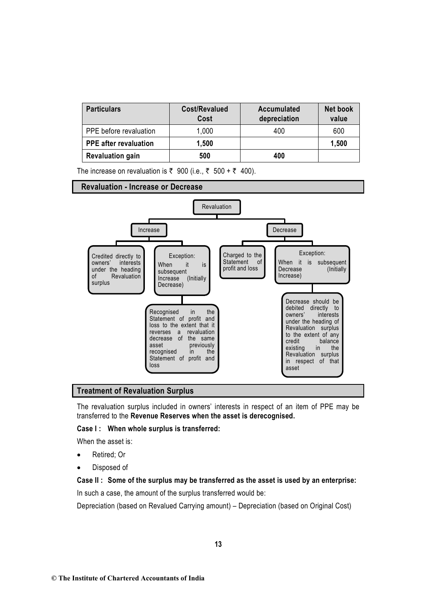| <b>Particulars</b>           | Cost/Revalued<br>Cost | <b>Accumulated</b><br>depreciation | <b>Net book</b><br>value |
|------------------------------|-----------------------|------------------------------------|--------------------------|
| PPE before revaluation       | 1,000                 | 400                                | 600                      |
| <b>PPE</b> after revaluation | 1,500                 |                                    | 1,500                    |
| <b>Revaluation gain</b>      | 500                   | 400                                |                          |

The increase on revaluation is  $\overline{\zeta}$  900 (i.e.,  $\overline{\zeta}$  500 +  $\overline{\zeta}$  400).

#### **Revaluation - Increase or Decrease**



#### **Treatment of Revaluation Surplus**

The revaluation surplus included in owners' interests in respect of an item of PPE may be transferred to the **Revenue Reserves when the asset is derecognised.** 

#### **Case I : When whole surplus is transferred:**

When the asset is:

- Retired; Or
- Disposed of

#### **Case II : Some of the surplus may be transferred as the asset is used by an enterprise:**

In such a case, the amount of the surplus transferred would be:

Depreciation (based on Revalued Carrying amount) – Depreciation (based on Original Cost)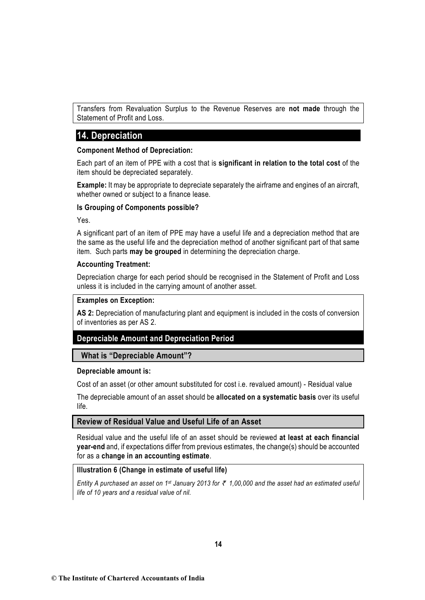Transfers from Revaluation Surplus to the Revenue Reserves are **not made** through the Statement of Profit and Loss.

# **14. Depreciation**

#### **Component Method of Depreciation:**

Each part of an item of PPE with a cost that is **significant in relation to the total cost** of the item should be depreciated separately.

**Example:** It may be appropriate to depreciate separately the airframe and engines of an aircraft, whether owned or subject to a finance lease.

### **Is Grouping of Components possible?**

Yes.

A significant part of an item of PPE may have a useful life and a depreciation method that are the same as the useful life and the depreciation method of another significant part of that same item. Such parts **may be grouped** in determining the depreciation charge.

### **Accounting Treatment:**

Depreciation charge for each period should be recognised in the Statement of Profit and Loss unless it is included in the carrying amount of another asset.

#### **Examples on Exception:**

**AS 2:** Depreciation of manufacturing plant and equipment is included in the costs of conversion of inventories as per AS 2.

# **Depreciable Amount and Depreciation Period**

 **What is "Depreciable Amount"?**

#### **Depreciable amount is:**

Cost of an asset (or other amount substituted for cost i.e. revalued amount) - Residual value

The depreciable amount of an asset should be **allocated on a systematic basis** over its useful life.

# **Review of Residual Value and Useful Life of an Asset**

Residual value and the useful life of an asset should be reviewed **at least at each financial year-end** and, if expectations differ from previous estimates, the change(s) should be accounted for as a **change in an accounting estimate**.

#### **Illustration 6 (Change in estimate of useful life)**

*Entity A purchased an asset on 1st January 2013 for* ` *1,00,000 and the asset had an estimated useful life of 10 years and a residual value of nil.*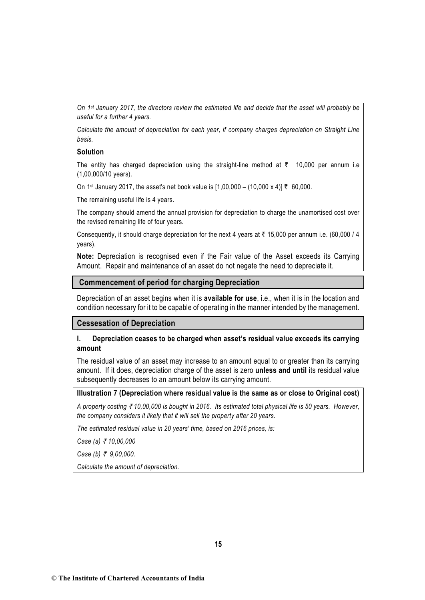*On 1st January 2017, the directors review the estimated life and decide that the asset will probably be useful for a further 4 years.* 

*Calculate the amount of depreciation for each year, if company charges depreciation on Straight Line basis.*

#### **Solution**

The entity has charged depreciation using the straight-line method at  $\bar{\tau}$  10,000 per annum i.e (1,00,000/10 years).

On 1<sup>st</sup> January 2017, the asset's net book value is  $[1.00,000 - (10,000 \times 4)]$  ₹ 60,000.

The remaining useful life is 4 years.

The company should amend the annual provision for depreciation to charge the unamortised cost over the revised remaining life of four years.

Consequently, it should charge depreciation for the next 4 years at  $\bar{\tau}$  15,000 per annum i.e. (60,000 / 4 years).

**Note:** Depreciation is recognised even if the Fair value of the Asset exceeds its Carrying Amount. Repair and maintenance of an asset do not negate the need to depreciate it.

#### **Commencement of period for charging Depreciation**

Depreciation of an asset begins when it is **available for use**, i.e., when it is in the location and condition necessary for it to be capable of operating in the manner intended by the management.

#### **Cessesation of Depreciation**

#### **I. Depreciation ceases to be charged when asset's residual value exceeds its carrying amount**

The residual value of an asset may increase to an amount equal to or greater than its carrying amount. If it does, depreciation charge of the asset is zero **unless and until** its residual value subsequently decreases to an amount below its carrying amount.

#### **Illustration 7 (Depreciation where residual value is the same as or close to Original cost)**

*A property costing* ` *10,00,000 is bought in 2016. Its estimated total physical life is 50 years. However, the company considers it likely that it will sell the property after 20 years.* 

*The estimated residual value in 20 years' time, based on 2016 prices, is:*

*Case (a)* ` *10,00,000*

*Case (b) ₹ 9,00,000.* 

*Calculate the amount of depreciation.*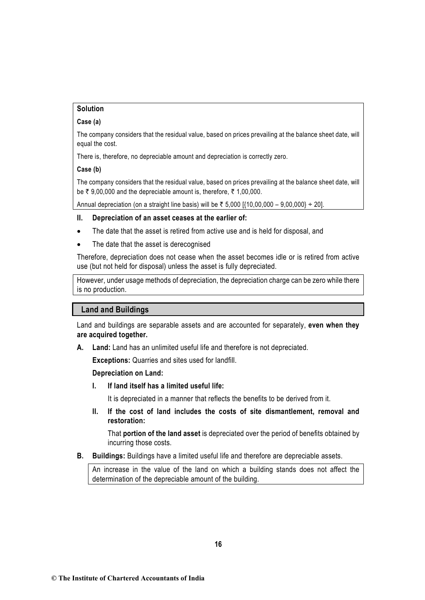# **Solution**

#### **Case (a)**

The company considers that the residual value, based on prices prevailing at the balance sheet date, will equal the cost.

There is, therefore, no depreciable amount and depreciation is correctly zero.

#### **Case (b)**

The company considers that the residual value, based on prices prevailing at the balance sheet date, will be  $\bar{\tau}$  9,00,000 and the depreciable amount is, therefore,  $\bar{\tau}$  1,00,000.

Annual depreciation (on a straight line basis) will be ₹ 5,000 [ ${10,00,000 - 9,00,000} \div 20$ ].

#### **II. Depreciation of an asset ceases at the earlier of:**

- The date that the asset is retired from active use and is held for disposal, and
- The date that the asset is derecognised

Therefore, depreciation does not cease when the asset becomes idle or is retired from active use (but not held for disposal) unless the asset is fully depreciated.

However, under usage methods of depreciation, the depreciation charge can be zero while there is no production.

# **Land and Buildings**

Land and buildings are separable assets and are accounted for separately, **even when they are acquired together.** 

**A. Land:** Land has an unlimited useful life and therefore is not depreciated.

**Exceptions:** Quarries and sites used for landfill.

#### **Depreciation on Land:**

**I. If land itself has a limited useful life:**

It is depreciated in a manner that reflects the benefits to be derived from it.

**II. If the cost of land includes the costs of site dismantlement, removal and restoration:**

That **portion of the land asset** is depreciated over the period of benefits obtained by incurring those costs.

**B. Buildings:** Buildings have a limited useful life and therefore are depreciable assets.

An increase in the value of the land on which a building stands does not affect the determination of the depreciable amount of the building.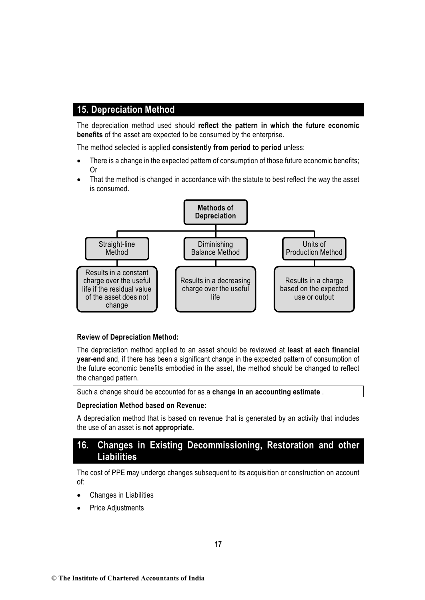# **15. Depreciation Method**

The depreciation method used should **reflect the pattern in which the future economic benefits** of the asset are expected to be consumed by the enterprise.

The method selected is applied **consistently from period to period** unless:

- There is a change in the expected pattern of consumption of those future economic benefits; Or
- That the method is changed in accordance with the statute to best reflect the way the asset is consumed.



#### **Review of Depreciation Method:**

The depreciation method applied to an asset should be reviewed at **least at each financial year-end** and, if there has been a significant change in the expected pattern of consumption of the future economic benefits embodied in the asset, the method should be changed to reflect the changed pattern.

Such a change should be accounted for as a **change in an accounting estimate** .

#### **Depreciation Method based on Revenue:**

A depreciation method that is based on revenue that is generated by an activity that includes the use of an asset is **not appropriate.** 

# **16. Changes in Existing Decommissioning, Restoration and other Liabilities**

The cost of PPE may undergo changes subsequent to its acquisition or construction on account of:

- Changes in Liabilities
- **Price Adjustments**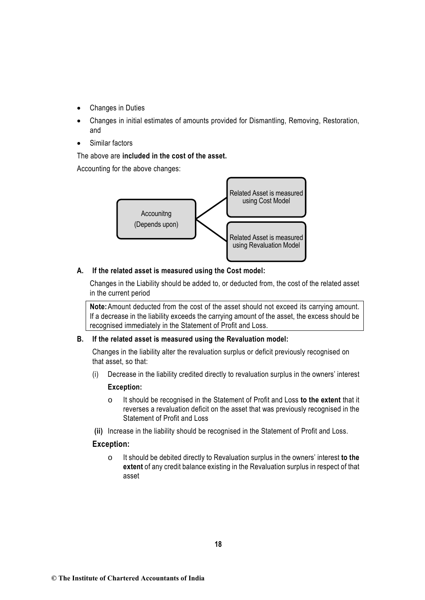- Changes in Duties
- Changes in initial estimates of amounts provided for Dismantling, Removing, Restoration, and
- Similar factors

# The above are **included in the cost of the asset.**

Accounting for the above changes:



# **A. If the related asset is measured using the Cost model:**

Changes in the Liability should be added to, or deducted from, the cost of the related asset in the current period

**Note:**Amount deducted from the cost of the asset should not exceed its carrying amount. If a decrease in the liability exceeds the carrying amount of the asset, the excess should be recognised immediately in the Statement of Profit and Loss.

# **B. If the related asset is measured using the Revaluation model:**

Changes in the liability alter the revaluation surplus or deficit previously recognised on that asset, so that:

(i) Decrease in the liability credited directly to revaluation surplus in the owners' interest

# **Exception:**

- o It should be recognised in the Statement of Profit and Loss **to the extent** that it reverses a revaluation deficit on the asset that was previously recognised in the Statement of Profit and Loss
- **(ii)** Increase in the liability should be recognised in the Statement of Profit and Loss.

# **Exception:**

o It should be debited directly to Revaluation surplus in the owners' interest **to the extent** of any credit balance existing in the Revaluation surplus in respect of that asset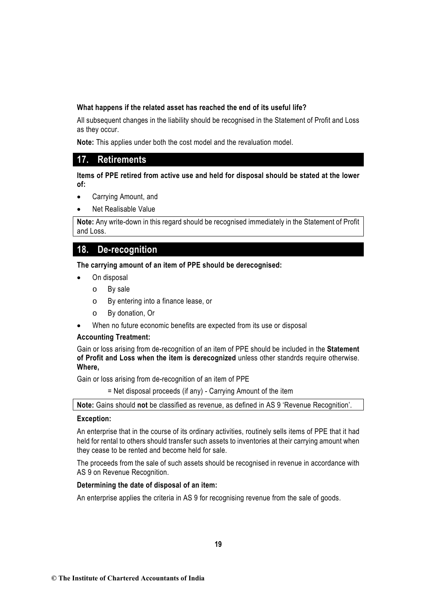### **What happens if the related asset has reached the end of its useful life?**

All subsequent changes in the liability should be recognised in the Statement of Profit and Loss as they occur.

**Note:** This applies under both the cost model and the revaluation model.

# **17. Retirements**

### **Items of PPE retired from active use and held for disposal should be stated at the lower of:**

- Carrying Amount, and
- Net Realisable Value

**Note:** Any write-down in this regard should be recognised immediately in the Statement of Profit and Loss.

# **18. De-recognition**

**The carrying amount of an item of PPE should be derecognised:**

- On disposal
	- o By sale
	- o By entering into a finance lease, or
	- o By donation, Or
- When no future economic benefits are expected from its use or disposal

#### **Accounting Treatment:**

Gain or loss arising from de-recognition of an item of PPE should be included in the **Statement of Profit and Loss when the item is derecognized** unless other standrds require otherwise. **Where,** 

Gain or loss arising from de-recognition of an item of PPE

= Net disposal proceeds (if any) - Carrying Amount of the item

**Note:** Gains should **not** be classified as revenue, as defined in AS 9 'Revenue Recognition'.

#### **Exception:**

An enterprise that in the course of its ordinary activities, routinely sells items of PPE that it had held for rental to others should transfer such assets to inventories at their carrying amount when they cease to be rented and become held for sale.

The proceeds from the sale of such assets should be recognised in revenue in accordance with AS 9 on Revenue Recognition.

#### **Determining the date of disposal of an item:**

An enterprise applies the criteria in AS 9 for recognising revenue from the sale of goods.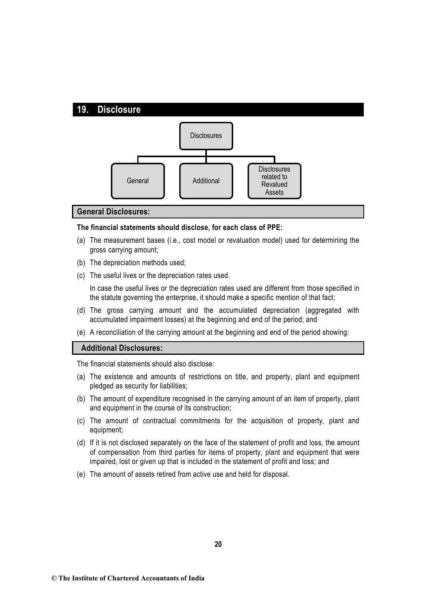

#### **General Disclosures:**

#### **The financial statements should disclose, for each class of PPE:**

- (a) The measurement bases (i.e., cost model or revaluation model) used for determining the gross carrying amount;
- (b) The depreciation methods used;
- (c) The useful lives or the depreciation rates used.

In case the useful lives or the depreciation rates used are different from those specified in the statute governing the enterprise, it should make a specific mention of that fact;

- (d) The gross carrying amount and the accumulated depreciation (aggregated with accumulated impairment losses) at the beginning and end of the period; and
- (e) A reconciliation of the carrying amount at the beginning and end of the period showing:

#### **Additional Disclosures:**

The financial statements should also disclose:

- (a) The existence and amounts of restrictions on title, and property, plant and equipment pledged as security for liabilities;
- (b) The amount of expenditure recognised in the carrying amount of an item of property, plant and equipment in the course of its construction;
- (c) The amount of contractual commitments for the acquisition of property, plant and equipment;
- (d) If it is not disclosed separately on the face of the statement of profit and loss, the amount of compensation from third parties for items of property, plant and equipment that were impaired, lost or given up that is included in the statement of profit and loss; and
- (e) The amount of assets retired from active use and held for disposal.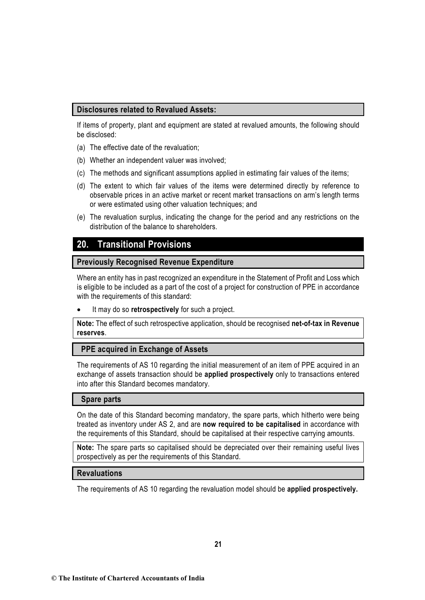# **Disclosures related to Revalued Assets:**

If items of property, plant and equipment are stated at revalued amounts, the following should be disclosed:

- (a) The effective date of the revaluation;
- (b) Whether an independent valuer was involved;
- (c) The methods and significant assumptions applied in estimating fair values of the items;
- (d) The extent to which fair values of the items were determined directly by reference to observable prices in an active market or recent market transactions on arm's length terms or were estimated using other valuation techniques; and
- (e) The revaluation surplus, indicating the change for the period and any restrictions on the distribution of the balance to shareholders.

# **20. Transitional Provisions**

# **Previously Recognised Revenue Expenditure**

Where an entity has in past recognized an expenditure in the Statement of Profit and Loss which is eligible to be included as a part of the cost of a project for construction of PPE in accordance with the requirements of this standard:

• It may do so **retrospectively** for such a project.

**Note:** The effect of such retrospective application, should be recognised **net-of-tax in Revenue reserves**.

# **PPE acquired in Exchange of Assets**

The requirements of AS 10 regarding the initial measurement of an item of PPE acquired in an exchange of assets transaction should be **applied prospectively** only to transactions entered into after this Standard becomes mandatory.

#### **Spare parts**

On the date of this Standard becoming mandatory, the spare parts, which hitherto were being treated as inventory under AS 2, and are **now required to be capitalised** in accordance with the requirements of this Standard, should be capitalised at their respective carrying amounts.

**Note:** The spare parts so capitalised should be depreciated over their remaining useful lives prospectively as per the requirements of this Standard.

# **Revaluations**

The requirements of AS 10 regarding the revaluation model should be **applied prospectively.**